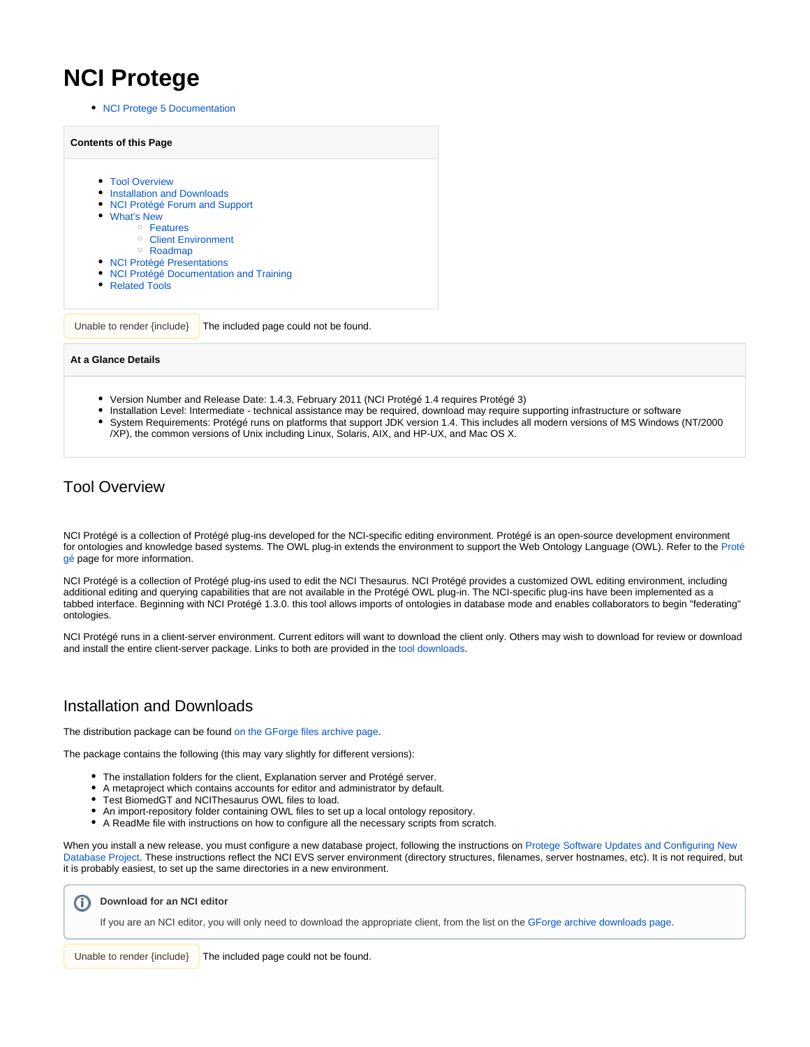# **NCI Protege**

• [NCI Protege 5 Documentation](https://wiki.nci.nih.gov/display/Protege/NCI+Protege+5+Documentation)

| <b>Contents of this Page</b>                                                                                                                                                                                                                                                         |
|--------------------------------------------------------------------------------------------------------------------------------------------------------------------------------------------------------------------------------------------------------------------------------------|
| • Tool Overview<br>• Installation and Downloads<br>• NCI Protégé Forum and Support<br>• What's New<br><sup>o</sup> Features<br><sup>o</sup> Client Environment<br><sup>o</sup> Roadmap<br>• NCI Protégé Presentations<br>• NCI Protégé Documentation and Training<br>• Related Tools |
| The included page could not be found.<br>Unable to render {include}                                                                                                                                                                                                                  |

#### **At a Glance Details**

- Version Number and Release Date: 1.4.3, February 2011 (NCI Protégé 1.4 requires Protégé 3)
- Installation Level: Intermediate technical assistance may be required, download may require supporting infrastructure or software System Requirements: Protégé runs on platforms that support JDK version 1.4. This includes all modern versions of MS Windows (NT/2000 /XP), the common versions of Unix including Linux, Solaris, AIX, and HP-UX, and Mac OS X.

## <span id="page-0-0"></span>Tool Overview

NCI Protégé is a collection of Protégé plug-ins developed for the NCI-specific editing environment. Protégé is an open-source development environment for ontologies and knowledge based systems. The OWL plug-in extends the environment to support the Web Ontology Language (OWL). Refer to the [Proté](https://wiki.nci.nih.gov/display/Protege/Protege+Archive) [gé](https://wiki.nci.nih.gov/display/Protege/Protege+Archive) page for more information.

NCI Protégé is a collection of Protégé plug-ins used to edit the NCI Thesaurus. NCI Protégé provides a customized OWL editing environment, including additional editing and querying capabilities that are not available in the Protégé OWL plug-in. The NCI-specific plug-ins have been implemented as a tabbed interface. Beginning with NCI Protégé 1.3.0. this tool allows imports of ontologies in database mode and enables collaborators to begin "federating" ontologies.

NCI Protégé runs in a client-server environment. Current editors will want to download the client only. Others may wish to download for review or download and install the entire client-server package. Links to both are provided in the [tool downloads](#page-0-1).

## <span id="page-0-1"></span>Installation and Downloads

The distribution package can be found [on the GForge files archive page](https://wiki.nci.nih.gov/pages/viewpage.action?pageId=189825312).

The package contains the following (this may vary slightly for different versions):

- The installation folders for the client, Explanation server and Protégé server.
- $\bullet$ A metaproject which contains accounts for editor and administrator by default.
- Test BiomedGT and NCIThesaurus OWL files to load.
- An import-repository folder containing OWL files to set up a local ontology repository.
- A ReadMe file with instructions on how to configure all the necessary scripts from scratch.

When you install a new release, you must configure a new database project, following the instructions on [Protege Software Updates and Configuring New](https://wiki.nci.nih.gov/display/Protege/Protege+Software+Updates+and+Configuring+New+Database+Project)  [Database Project.](https://wiki.nci.nih.gov/display/Protege/Protege+Software+Updates+and+Configuring+New+Database+Project) These instructions reflect the NCI EVS server environment (directory structures, filenames, server hostnames, etc). It is not required, but it is probably easiest, to set up the same directories in a new environment.

**Download for an NCI editor**

If you are an NCI editor, you will only need to download the appropriate client, from the list on the [GForge archive downloads page.](https://wiki.nci.nih.gov/pages/viewpage.action?pageId=189825312)

<span id="page-0-2"></span>Unable to render  $\{include\}$  The included page could not be found.